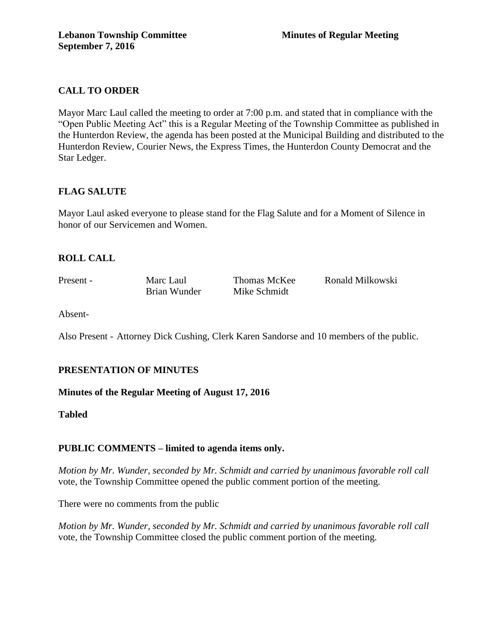## **CALL TO ORDER**

Mayor Marc Laul called the meeting to order at 7:00 p.m. and stated that in compliance with the "Open Public Meeting Act" this is a Regular Meeting of the Township Committee as published in the Hunterdon Review, the agenda has been posted at the Municipal Building and distributed to the Hunterdon Review, Courier News, the Express Times, the Hunterdon County Democrat and the Star Ledger.

## **FLAG SALUTE**

Mayor Laul asked everyone to please stand for the Flag Salute and for a Moment of Silence in honor of our Servicemen and Women.

## **ROLL CALL**

Brian Wunder Mike Schmidt

Present - Marc Laul Thomas McKee Ronald Milkowski

Absent-

Also Present - Attorney Dick Cushing, Clerk Karen Sandorse and 10 members of the public.

# **PRESENTATION OF MINUTES**

**Minutes of the Regular Meeting of August 17, 2016**

**Tabled**

## **PUBLIC COMMENTS – limited to agenda items only.**

*Motion by Mr. Wunder, seconded by Mr. Schmidt and carried by unanimous favorable roll call* vote, the Township Committee opened the public comment portion of the meeting.

There were no comments from the public

*Motion by Mr. Wunder, seconded by Mr. Schmidt and carried by unanimous favorable roll call*  vote, the Township Committee closed the public comment portion of the meeting.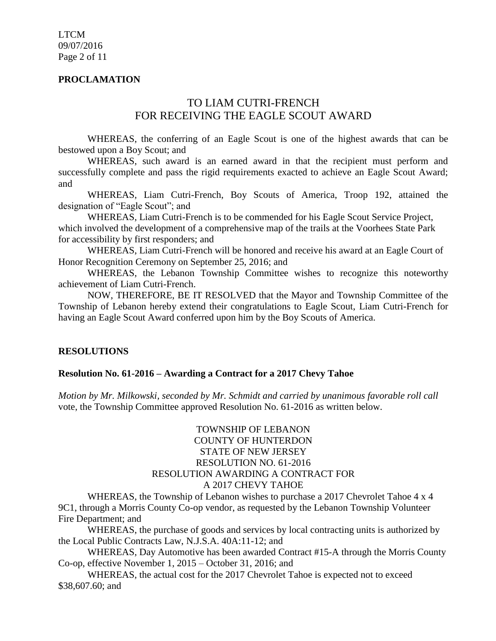#### **PROCLAMATION**

# TO LIAM CUTRI-FRENCH FOR RECEIVING THE EAGLE SCOUT AWARD

WHEREAS, the conferring of an Eagle Scout is one of the highest awards that can be bestowed upon a Boy Scout; and

WHEREAS, such award is an earned award in that the recipient must perform and successfully complete and pass the rigid requirements exacted to achieve an Eagle Scout Award; and

WHEREAS, Liam Cutri-French, Boy Scouts of America, Troop 192, attained the designation of "Eagle Scout"; and

WHEREAS, Liam Cutri-French is to be commended for his Eagle Scout Service Project, which involved the development of a comprehensive map of the trails at the Voorhees State Park for accessibility by first responders; and

WHEREAS, Liam Cutri-French will be honored and receive his award at an Eagle Court of Honor Recognition Ceremony on September 25, 2016; and

WHEREAS, the Lebanon Township Committee wishes to recognize this noteworthy achievement of Liam Cutri-French.

NOW, THEREFORE, BE IT RESOLVED that the Mayor and Township Committee of the Township of Lebanon hereby extend their congratulations to Eagle Scout, Liam Cutri-French for having an Eagle Scout Award conferred upon him by the Boy Scouts of America.

#### **RESOLUTIONS**

#### **Resolution No. 61-2016 – Awarding a Contract for a 2017 Chevy Tahoe**

*Motion by Mr. Milkowski, seconded by Mr. Schmidt and carried by unanimous favorable roll call*  vote, the Township Committee approved Resolution No. 61-2016 as written below.

#### TOWNSHIP OF LEBANON COUNTY OF HUNTERDON STATE OF NEW JERSEY RESOLUTION NO. 61-2016 RESOLUTION AWARDING A CONTRACT FOR A 2017 CHEVY TAHOE

WHEREAS, the Township of Lebanon wishes to purchase a 2017 Chevrolet Tahoe 4 x 4 9C1, through a Morris County Co-op vendor, as requested by the Lebanon Township Volunteer Fire Department; and

WHEREAS, the purchase of goods and services by local contracting units is authorized by the Local Public Contracts Law, N.J.S.A. 40A:11-12; and

WHEREAS, Day Automotive has been awarded Contract #15-A through the Morris County Co-op, effective November 1, 2015 – October 31, 2016; and

WHEREAS, the actual cost for the 2017 Chevrolet Tahoe is expected not to exceed \$38,607.60; and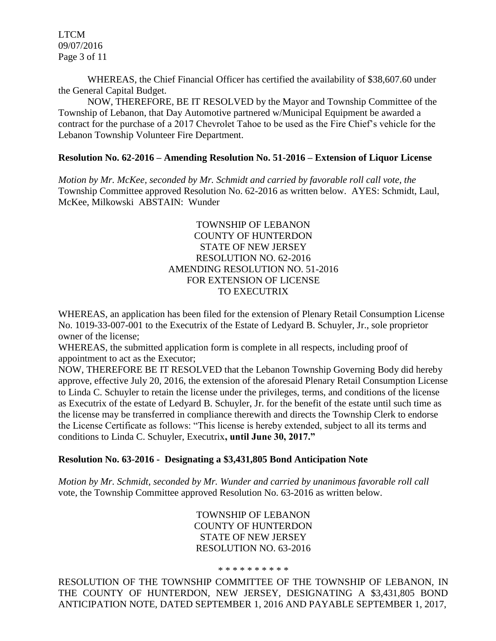LTCM 09/07/2016 Page 3 of 11

WHEREAS, the Chief Financial Officer has certified the availability of \$38,607.60 under the General Capital Budget.

NOW, THEREFORE, BE IT RESOLVED by the Mayor and Township Committee of the Township of Lebanon, that Day Automotive partnered w/Municipal Equipment be awarded a contract for the purchase of a 2017 Chevrolet Tahoe to be used as the Fire Chief's vehicle for the Lebanon Township Volunteer Fire Department.

#### **Resolution No. 62-2016 – Amending Resolution No. 51-2016 – Extension of Liquor License**

*Motion by Mr. McKee, seconded by Mr. Schmidt and carried by favorable roll call vote, the* Township Committee approved Resolution No. 62-2016 as written below. AYES: Schmidt, Laul, McKee, Milkowski ABSTAIN: Wunder

#### TOWNSHIP OF LEBANON COUNTY OF HUNTERDON STATE OF NEW JERSEY RESOLUTION NO. 62-2016 AMENDING RESOLUTION NO. 51-2016 FOR EXTENSION OF LICENSE TO EXECUTRIX

WHEREAS, an application has been filed for the extension of Plenary Retail Consumption License No. 1019-33-007-001 to the Executrix of the Estate of Ledyard B. Schuyler, Jr., sole proprietor owner of the license;

WHEREAS, the submitted application form is complete in all respects, including proof of appointment to act as the Executor;

NOW, THEREFORE BE IT RESOLVED that the Lebanon Township Governing Body did hereby approve, effective July 20, 2016, the extension of the aforesaid Plenary Retail Consumption License to Linda C. Schuyler to retain the license under the privileges, terms, and conditions of the license as Executrix of the estate of Ledyard B. Schuyler, Jr. for the benefit of the estate until such time as the license may be transferred in compliance therewith and directs the Township Clerk to endorse the License Certificate as follows: "This license is hereby extended, subject to all its terms and conditions to Linda C. Schuyler, Executrix**, until June 30, 2017."** 

#### **Resolution No. 63-2016 - Designating a \$3,431,805 Bond Anticipation Note**

*Motion by Mr. Schmidt, seconded by Mr. Wunder and carried by unanimous favorable roll call*  vote, the Township Committee approved Resolution No. 63-2016 as written below.

> TOWNSHIP OF LEBANON COUNTY OF HUNTERDON STATE OF NEW JERSEY RESOLUTION NO. 63-2016

#### \* \* \* \* \* \* \* \* \* \*

RESOLUTION OF THE TOWNSHIP COMMITTEE OF THE TOWNSHIP OF LEBANON, IN THE COUNTY OF HUNTERDON, NEW JERSEY, DESIGNATING A \$3,431,805 BOND ANTICIPATION NOTE, DATED SEPTEMBER 1, 2016 AND PAYABLE SEPTEMBER 1, 2017,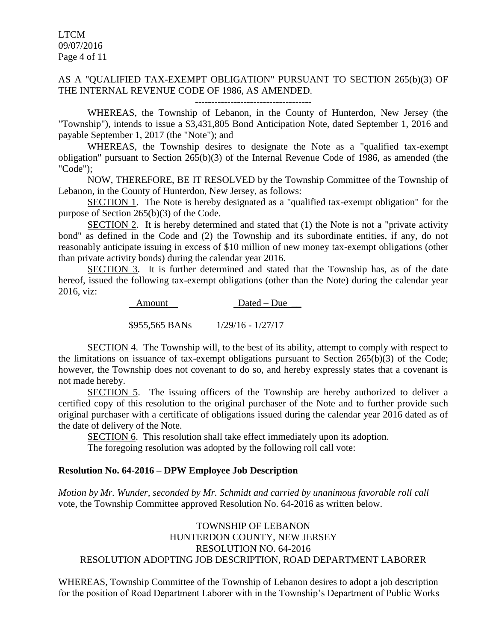LTCM 09/07/2016 Page 4 of 11

#### AS A "QUALIFIED TAX-EXEMPT OBLIGATION" PURSUANT TO SECTION 265(b)(3) OF THE INTERNAL REVENUE CODE OF 1986, AS AMENDED. ------------------------------------

WHEREAS, the Township of Lebanon, in the County of Hunterdon, New Jersey (the "Township"), intends to issue a \$3,431,805 Bond Anticipation Note, dated September 1, 2016 and payable September 1, 2017 (the "Note"); and

WHEREAS, the Township desires to designate the Note as a "qualified tax-exempt obligation" pursuant to Section 265(b)(3) of the Internal Revenue Code of 1986, as amended (the "Code");

NOW, THEREFORE, BE IT RESOLVED by the Township Committee of the Township of Lebanon, in the County of Hunterdon, New Jersey, as follows:

SECTION 1. The Note is hereby designated as a "qualified tax-exempt obligation" for the purpose of Section 265(b)(3) of the Code.

SECTION 2. It is hereby determined and stated that (1) the Note is not a "private activity bond" as defined in the Code and (2) the Township and its subordinate entities, if any, do not reasonably anticipate issuing in excess of \$10 million of new money tax-exempt obligations (other than private activity bonds) during the calendar year 2016.

SECTION 3. It is further determined and stated that the Township has, as of the date hereof, issued the following tax-exempt obligations (other than the Note) during the calendar year 2016, viz:

Amount Dated – Due  $\_\_$ 

\$955,565 BANs 1/29/16 - 1/27/17

SECTION 4. The Township will, to the best of its ability, attempt to comply with respect to the limitations on issuance of tax-exempt obligations pursuant to Section 265(b)(3) of the Code; however, the Township does not covenant to do so, and hereby expressly states that a covenant is not made hereby.

SECTION 5. The issuing officers of the Township are hereby authorized to deliver a certified copy of this resolution to the original purchaser of the Note and to further provide such original purchaser with a certificate of obligations issued during the calendar year 2016 dated as of the date of delivery of the Note.

SECTION 6. This resolution shall take effect immediately upon its adoption.

The foregoing resolution was adopted by the following roll call vote:

#### **Resolution No. 64-2016 – DPW Employee Job Description**

*Motion by Mr. Wunder, seconded by Mr. Schmidt and carried by unanimous favorable roll call*  vote, the Township Committee approved Resolution No. 64-2016 as written below.

## TOWNSHIP OF LEBANON HUNTERDON COUNTY, NEW JERSEY RESOLUTION NO. 64-2016 RESOLUTION ADOPTING JOB DESCRIPTION, ROAD DEPARTMENT LABORER

WHEREAS, Township Committee of the Township of Lebanon desires to adopt a job description for the position of Road Department Laborer with in the Township's Department of Public Works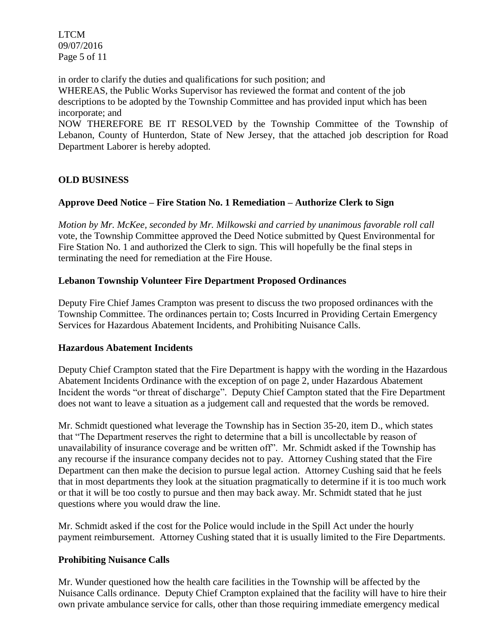LTCM 09/07/2016 Page 5 of 11

in order to clarify the duties and qualifications for such position; and WHEREAS, the Public Works Supervisor has reviewed the format and content of the job descriptions to be adopted by the Township Committee and has provided input which has been incorporate; and

NOW THEREFORE BE IT RESOLVED by the Township Committee of the Township of Lebanon, County of Hunterdon, State of New Jersey, that the attached job description for Road Department Laborer is hereby adopted.

## **OLD BUSINESS**

## **Approve Deed Notice – Fire Station No. 1 Remediation – Authorize Clerk to Sign**

*Motion by Mr. McKee, seconded by Mr. Milkowski and carried by unanimous favorable roll call*  vote, the Township Committee approved the Deed Notice submitted by Quest Environmental for Fire Station No. 1 and authorized the Clerk to sign. This will hopefully be the final steps in terminating the need for remediation at the Fire House.

## **Lebanon Township Volunteer Fire Department Proposed Ordinances**

Deputy Fire Chief James Crampton was present to discuss the two proposed ordinances with the Township Committee. The ordinances pertain to; Costs Incurred in Providing Certain Emergency Services for Hazardous Abatement Incidents, and Prohibiting Nuisance Calls.

## **Hazardous Abatement Incidents**

Deputy Chief Crampton stated that the Fire Department is happy with the wording in the Hazardous Abatement Incidents Ordinance with the exception of on page 2, under Hazardous Abatement Incident the words "or threat of discharge". Deputy Chief Campton stated that the Fire Department does not want to leave a situation as a judgement call and requested that the words be removed.

Mr. Schmidt questioned what leverage the Township has in Section 35-20, item D., which states that "The Department reserves the right to determine that a bill is uncollectable by reason of unavailability of insurance coverage and be written off". Mr. Schmidt asked if the Township has any recourse if the insurance company decides not to pay. Attorney Cushing stated that the Fire Department can then make the decision to pursue legal action. Attorney Cushing said that he feels that in most departments they look at the situation pragmatically to determine if it is too much work or that it will be too costly to pursue and then may back away. Mr. Schmidt stated that he just questions where you would draw the line.

Mr. Schmidt asked if the cost for the Police would include in the Spill Act under the hourly payment reimbursement. Attorney Cushing stated that it is usually limited to the Fire Departments.

## **Prohibiting Nuisance Calls**

Mr. Wunder questioned how the health care facilities in the Township will be affected by the Nuisance Calls ordinance. Deputy Chief Crampton explained that the facility will have to hire their own private ambulance service for calls, other than those requiring immediate emergency medical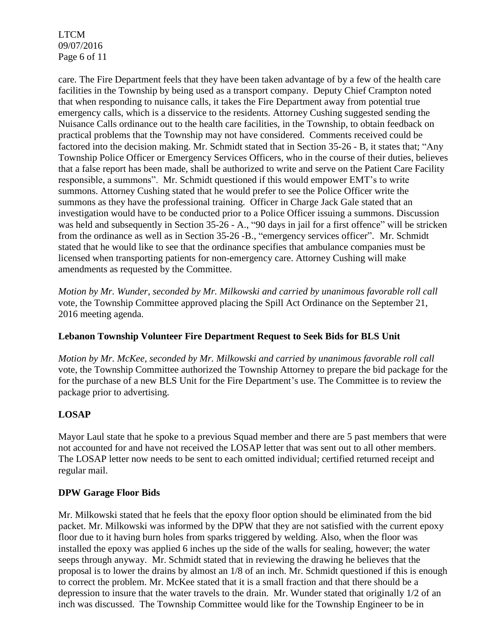LTCM 09/07/2016 Page 6 of 11

care. The Fire Department feels that they have been taken advantage of by a few of the health care facilities in the Township by being used as a transport company. Deputy Chief Crampton noted that when responding to nuisance calls, it takes the Fire Department away from potential true emergency calls, which is a disservice to the residents. Attorney Cushing suggested sending the Nuisance Calls ordinance out to the health care facilities, in the Township, to obtain feedback on practical problems that the Township may not have considered. Comments received could be factored into the decision making. Mr. Schmidt stated that in Section 35-26 - B, it states that; "Any Township Police Officer or Emergency Services Officers, who in the course of their duties, believes that a false report has been made, shall be authorized to write and serve on the Patient Care Facility responsible, a summons". Mr. Schmidt questioned if this would empower EMT's to write summons. Attorney Cushing stated that he would prefer to see the Police Officer write the summons as they have the professional training. Officer in Charge Jack Gale stated that an investigation would have to be conducted prior to a Police Officer issuing a summons. Discussion was held and subsequently in Section 35-26 - A., "90 days in jail for a first offence" will be stricken from the ordinance as well as in Section 35-26 -B., "emergency services officer". Mr. Schmidt stated that he would like to see that the ordinance specifies that ambulance companies must be licensed when transporting patients for non-emergency care. Attorney Cushing will make amendments as requested by the Committee.

*Motion by Mr. Wunder, seconded by Mr. Milkowski and carried by unanimous favorable roll call*  vote, the Township Committee approved placing the Spill Act Ordinance on the September 21, 2016 meeting agenda.

## **Lebanon Township Volunteer Fire Department Request to Seek Bids for BLS Unit**

*Motion by Mr. McKee, seconded by Mr. Milkowski and carried by unanimous favorable roll call*  vote, the Township Committee authorized the Township Attorney to prepare the bid package for the for the purchase of a new BLS Unit for the Fire Department's use. The Committee is to review the package prior to advertising.

## **LOSAP**

Mayor Laul state that he spoke to a previous Squad member and there are 5 past members that were not accounted for and have not received the LOSAP letter that was sent out to all other members. The LOSAP letter now needs to be sent to each omitted individual; certified returned receipt and regular mail.

## **DPW Garage Floor Bids**

Mr. Milkowski stated that he feels that the epoxy floor option should be eliminated from the bid packet. Mr. Milkowski was informed by the DPW that they are not satisfied with the current epoxy floor due to it having burn holes from sparks triggered by welding. Also, when the floor was installed the epoxy was applied 6 inches up the side of the walls for sealing, however; the water seeps through anyway. Mr. Schmidt stated that in reviewing the drawing he believes that the proposal is to lower the drains by almost an 1/8 of an inch. Mr. Schmidt questioned if this is enough to correct the problem. Mr. McKee stated that it is a small fraction and that there should be a depression to insure that the water travels to the drain. Mr. Wunder stated that originally 1/2 of an inch was discussed. The Township Committee would like for the Township Engineer to be in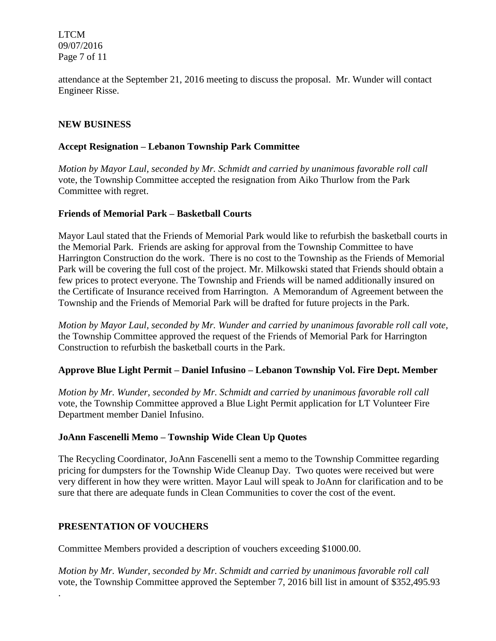LTCM 09/07/2016 Page 7 of 11

attendance at the September 21, 2016 meeting to discuss the proposal. Mr. Wunder will contact Engineer Risse.

#### **NEW BUSINESS**

#### **Accept Resignation – Lebanon Township Park Committee**

*Motion by Mayor Laul, seconded by Mr. Schmidt and carried by unanimous favorable roll call*  vote, the Township Committee accepted the resignation from Aiko Thurlow from the Park Committee with regret.

#### **Friends of Memorial Park – Basketball Courts**

Mayor Laul stated that the Friends of Memorial Park would like to refurbish the basketball courts in the Memorial Park. Friends are asking for approval from the Township Committee to have Harrington Construction do the work. There is no cost to the Township as the Friends of Memorial Park will be covering the full cost of the project. Mr. Milkowski stated that Friends should obtain a few prices to protect everyone. The Township and Friends will be named additionally insured on the Certificate of Insurance received from Harrington. A Memorandum of Agreement between the Township and the Friends of Memorial Park will be drafted for future projects in the Park.

*Motion by Mayor Laul, seconded by Mr. Wunder and carried by unanimous favorable roll call vote,* the Township Committee approved the request of the Friends of Memorial Park for Harrington Construction to refurbish the basketball courts in the Park.

#### **Approve Blue Light Permit – Daniel Infusino – Lebanon Township Vol. Fire Dept. Member**

*Motion by Mr. Wunder, seconded by Mr. Schmidt and carried by unanimous favorable roll call*  vote, the Township Committee approved a Blue Light Permit application for LT Volunteer Fire Department member Daniel Infusino.

#### **JoAnn Fascenelli Memo – Township Wide Clean Up Quotes**

The Recycling Coordinator, JoAnn Fascenelli sent a memo to the Township Committee regarding pricing for dumpsters for the Township Wide Cleanup Day. Two quotes were received but were very different in how they were written. Mayor Laul will speak to JoAnn for clarification and to be sure that there are adequate funds in Clean Communities to cover the cost of the event.

## **PRESENTATION OF VOUCHERS**

.

Committee Members provided a description of vouchers exceeding \$1000.00.

*Motion by Mr. Wunder, seconded by Mr. Schmidt and carried by unanimous favorable roll call*  vote, the Township Committee approved the September 7, 2016 bill list in amount of \$352,495.93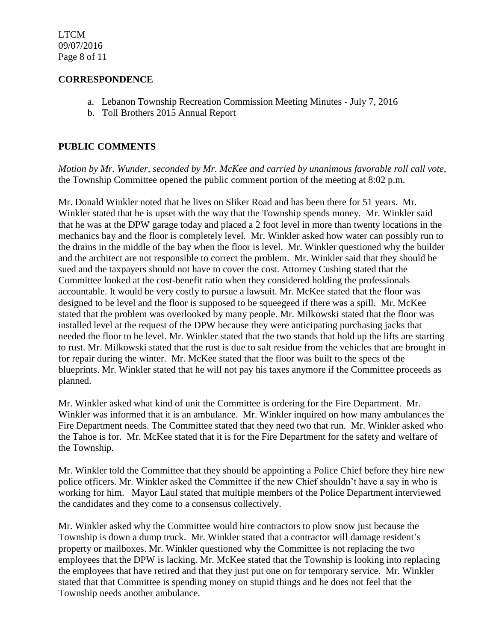#### **CORRESPONDENCE**

- a. Lebanon Township Recreation Commission Meeting Minutes July 7, 2016
- b. Toll Brothers 2015 Annual Report

## **PUBLIC COMMENTS**

*Motion by Mr. Wunder, seconded by Mr. McKee and carried by unanimous favorable roll call vote,* the Township Committee opened the public comment portion of the meeting at 8:02 p.m.

Mr. Donald Winkler noted that he lives on Sliker Road and has been there for 51 years. Mr. Winkler stated that he is upset with the way that the Township spends money. Mr. Winkler said that he was at the DPW garage today and placed a 2 foot level in more than twenty locations in the mechanics bay and the floor is completely level. Mr. Winkler asked how water can possibly run to the drains in the middle of the bay when the floor is level. Mr. Winkler questioned why the builder and the architect are not responsible to correct the problem. Mr. Winkler said that they should be sued and the taxpayers should not have to cover the cost. Attorney Cushing stated that the Committee looked at the cost-benefit ratio when they considered holding the professionals accountable. It would be very costly to pursue a lawsuit. Mr. McKee stated that the floor was designed to be level and the floor is supposed to be squeegeed if there was a spill. Mr. McKee stated that the problem was overlooked by many people. Mr. Milkowski stated that the floor was installed level at the request of the DPW because they were anticipating purchasing jacks that needed the floor to be level. Mr. Winkler stated that the two stands that hold up the lifts are starting to rust. Mr. Milkowski stated that the rust is due to salt residue from the vehicles that are brought in for repair during the winter. Mr. McKee stated that the floor was built to the specs of the blueprints. Mr. Winkler stated that he will not pay his taxes anymore if the Committee proceeds as planned.

Mr. Winkler asked what kind of unit the Committee is ordering for the Fire Department. Mr. Winkler was informed that it is an ambulance. Mr. Winkler inquired on how many ambulances the Fire Department needs. The Committee stated that they need two that run. Mr. Winkler asked who the Tahoe is for. Mr. McKee stated that it is for the Fire Department for the safety and welfare of the Township.

Mr. Winkler told the Committee that they should be appointing a Police Chief before they hire new police officers. Mr. Winkler asked the Committee if the new Chief shouldn't have a say in who is working for him. Mayor Laul stated that multiple members of the Police Department interviewed the candidates and they come to a consensus collectively.

Mr. Winkler asked why the Committee would hire contractors to plow snow just because the Township is down a dump truck. Mr. Winkler stated that a contractor will damage resident's property or mailboxes. Mr. Winkler questioned why the Committee is not replacing the two employees that the DPW is lacking. Mr. McKee stated that the Township is looking into replacing the employees that have retired and that they just put one on for temporary service. Mr. Winkler stated that that Committee is spending money on stupid things and he does not feel that the Township needs another ambulance.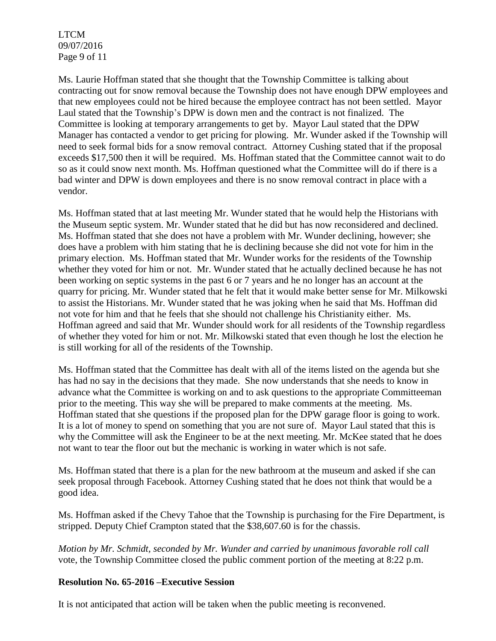LTCM 09/07/2016 Page 9 of 11

Ms. Laurie Hoffman stated that she thought that the Township Committee is talking about contracting out for snow removal because the Township does not have enough DPW employees and that new employees could not be hired because the employee contract has not been settled. Mayor Laul stated that the Township's DPW is down men and the contract is not finalized. The Committee is looking at temporary arrangements to get by. Mayor Laul stated that the DPW Manager has contacted a vendor to get pricing for plowing. Mr. Wunder asked if the Township will need to seek formal bids for a snow removal contract. Attorney Cushing stated that if the proposal exceeds \$17,500 then it will be required. Ms. Hoffman stated that the Committee cannot wait to do so as it could snow next month. Ms. Hoffman questioned what the Committee will do if there is a bad winter and DPW is down employees and there is no snow removal contract in place with a vendor.

Ms. Hoffman stated that at last meeting Mr. Wunder stated that he would help the Historians with the Museum septic system. Mr. Wunder stated that he did but has now reconsidered and declined. Ms. Hoffman stated that she does not have a problem with Mr. Wunder declining, however; she does have a problem with him stating that he is declining because she did not vote for him in the primary election. Ms. Hoffman stated that Mr. Wunder works for the residents of the Township whether they voted for him or not. Mr. Wunder stated that he actually declined because he has not been working on septic systems in the past 6 or 7 years and he no longer has an account at the quarry for pricing. Mr. Wunder stated that he felt that it would make better sense for Mr. Milkowski to assist the Historians. Mr. Wunder stated that he was joking when he said that Ms. Hoffman did not vote for him and that he feels that she should not challenge his Christianity either. Ms. Hoffman agreed and said that Mr. Wunder should work for all residents of the Township regardless of whether they voted for him or not. Mr. Milkowski stated that even though he lost the election he is still working for all of the residents of the Township.

Ms. Hoffman stated that the Committee has dealt with all of the items listed on the agenda but she has had no say in the decisions that they made. She now understands that she needs to know in advance what the Committee is working on and to ask questions to the appropriate Committeeman prior to the meeting. This way she will be prepared to make comments at the meeting. Ms. Hoffman stated that she questions if the proposed plan for the DPW garage floor is going to work. It is a lot of money to spend on something that you are not sure of. Mayor Laul stated that this is why the Committee will ask the Engineer to be at the next meeting. Mr. McKee stated that he does not want to tear the floor out but the mechanic is working in water which is not safe.

Ms. Hoffman stated that there is a plan for the new bathroom at the museum and asked if she can seek proposal through Facebook. Attorney Cushing stated that he does not think that would be a good idea.

Ms. Hoffman asked if the Chevy Tahoe that the Township is purchasing for the Fire Department, is stripped. Deputy Chief Crampton stated that the \$38,607.60 is for the chassis.

*Motion by Mr. Schmidt, seconded by Mr. Wunder and carried by unanimous favorable roll call* vote, the Township Committee closed the public comment portion of the meeting at 8:22 p.m.

## **Resolution No. 65-2016 –Executive Session**

It is not anticipated that action will be taken when the public meeting is reconvened.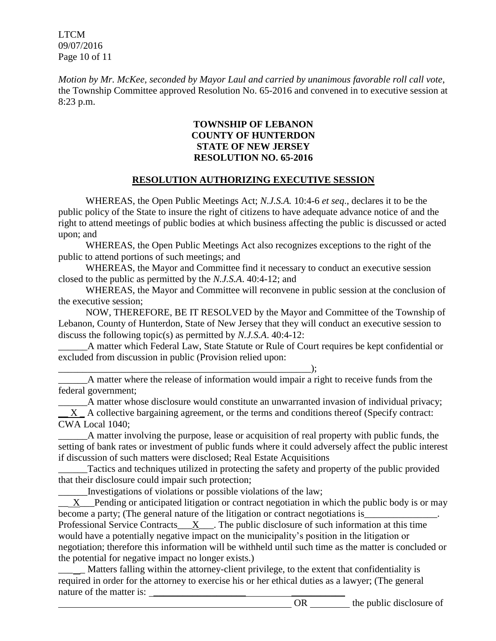LTCM 09/07/2016 Page 10 of 11

*Motion by Mr. McKee, seconded by Mayor Laul and carried by unanimous favorable roll call vote*, the Township Committee approved Resolution No. 65-2016 and convened in to executive session at 8:23 p.m.

#### **TOWNSHIP OF LEBANON COUNTY OF HUNTERDON STATE OF NEW JERSEY RESOLUTION NO. 65-2016**

## **RESOLUTION AUTHORIZING EXECUTIVE SESSION**

WHEREAS, the Open Public Meetings Act; *N.J.S.A.* 10:4-6 *et seq*., declares it to be the public policy of the State to insure the right of citizens to have adequate advance notice of and the right to attend meetings of public bodies at which business affecting the public is discussed or acted upon; and

WHEREAS, the Open Public Meetings Act also recognizes exceptions to the right of the public to attend portions of such meetings; and

WHEREAS, the Mayor and Committee find it necessary to conduct an executive session closed to the public as permitted by the *N.J.S.A*. 40:4-12; and

WHEREAS, the Mayor and Committee will reconvene in public session at the conclusion of the executive session;

NOW, THEREFORE, BE IT RESOLVED by the Mayor and Committee of the Township of Lebanon, County of Hunterdon, State of New Jersey that they will conduct an executive session to discuss the following topic(s) as permitted by *N.J.S.A*. 40:4-12:

A matter which Federal Law, State Statute or Rule of Court requires be kept confidential or excluded from discussion in public (Provision relied upon:

\_\_\_\_\_\_\_\_\_\_\_\_\_\_\_\_\_\_\_\_\_\_\_\_\_\_\_\_\_\_\_\_\_\_\_\_\_\_\_\_\_\_\_\_\_\_\_\_\_\_\_\_); A matter where the release of information would impair a right to receive funds from the federal government;

A matter whose disclosure would constitute an unwarranted invasion of individual privacy;  $\overline{X}$   $\overline{A}$  collective bargaining agreement, or the terms and conditions thereof (Specify contract: CWA Local 1040;

\_\_\_\_\_\_A matter involving the purpose, lease or acquisition of real property with public funds, the setting of bank rates or investment of public funds where it could adversely affect the public interest if discussion of such matters were disclosed; Real Estate Acquisitions

Tactics and techniques utilized in protecting the safety and property of the public provided that their disclosure could impair such protection;

\_\_\_\_\_\_Investigations of violations or possible violations of the law;

 $X$  Pending or anticipated litigation or contract negotiation in which the public body is or may become a party; (The general nature of the litigation or contract negotiations is

Professional Service Contracts $\underline{X}$ . The public disclosure of such information at this time would have a potentially negative impact on the municipality's position in the litigation or negotiation; therefore this information will be withheld until such time as the matter is concluded or the potential for negative impact no longer exists.)

Matters falling within the attorney-client privilege, to the extent that confidentiality is required in order for the attorney to exercise his or her ethical duties as a lawyer; (The general nature of the matter is: